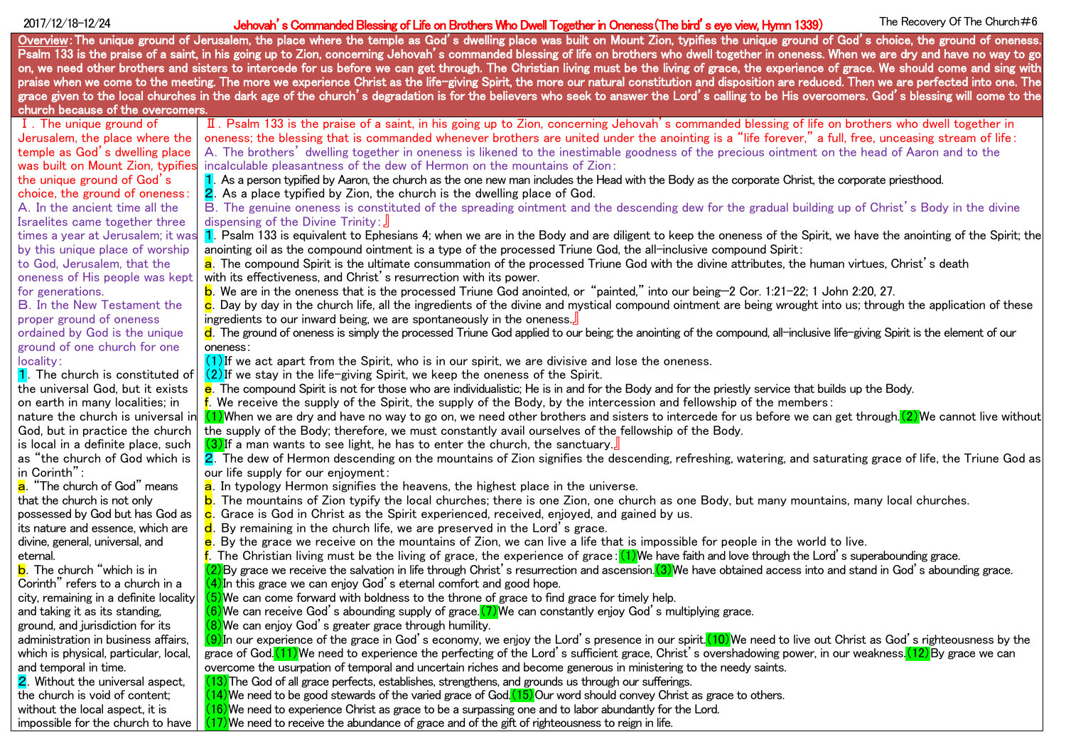2017/12/18–12/24 **Sommanded Blessing of Life on Brothers Who Dwell Together in Oneness(The bird's eye view, Hymn 1339)** The Recovery Of The Church#6 Overview: The unique ground of Jerusalem, the place where the temple as God's dwelling place was built on Mount Zion, typifies the unique ground of God's choice, the ground of oneness. Psalm 133 is the praise of a saint, in his going up to Zion, concerning Jehovah's commanded blessing of life on brothers who dwell together in oneness. When we are dry and have no way to go on, we need other brothers and sisters to intercede for us before we can get through. The Christian living must be the living of grace, the experience of grace. We should come and sing with praise when we come to the meeting. The more we experience Christ as the life-giving Spirit, the more our natural constitution and disposition are reduced. Then we are perfected into one. The grace given to the local churches in the dark age of the church's degradation is for the believers who seek to answer the Lord's calling to be His overcomers. God's blessing will come to the church because of the overcomers. Ⅰ.The unique ground of Jerusalem, the place where the temple as God's dwelling place was built on Mount Zion, typifies the unique ground of God's choice, the ground of oneness: A.In the ancient time all the Israelites came together three times a year at Jerusalem; it wa by this unique place of worship to God, Jerusalem, that the oneness of His people was kept for generations. B.In the New Testament the proper ground of oneness ordained by God is the unique ground of one church for one locality: **1.** The church is constituted of the universal God, but it exists on earth in many localities; in nature the church is universal in God, but in practice the church is local in a definite place, such as "the church of God which is in Corinth": a. "The church of God" means that the church is not only possessed by God but has God as its nature and essence, which are divine, general, universal, and eternal. **b**. The church "which is in Corinth" refers to a church in a city, remaining in a definite locality and taking it as its standing, ground, and jurisdiction for its administration in business affairs, which is physical, particular, local, and temporal in time. **2.** Without the universal aspect. Ⅱ.Psalm 133 is the praise of a saint, in his going up to Zion, concerning Jehovah's commanded blessing of life on brothers who dwell together in oneness; the blessing that is commanded whenever brothers are united under the anointing is a "life forever," a full, free, unceasing stream of life: A.The brothers' dwelling together in oneness is likened to the inestimable goodness of the precious ointment on the head of Aaron and to the incalculable pleasantness of the dew of Hermon on the mountains of Zion: 1. As a person typified by Aaron, the church as the one new man includes the Head with the Body as the corporate Christ, the corporate priesthood. 2.As a place typified by Zion, the church is the dwelling place of God. B.The genuine oneness is constituted of the spreading ointment and the descending dew for the gradual building up of Christ's Body in the divine dispensing of the Divine Trinity:』 1. Psalm 133 is equivalent to Ephesians 4; when we are in the Body and are diligent to keep the oneness of the Spirit, we have the anointing of the Spirit; the anointing oil as the compound ointment is a type of the processed Triune God, the all-inclusive compound Spirit: a. The compound Spirit is the ultimate consummation of the processed Triune God with the divine attributes, the human virtues, Christ's death with its effectiveness, and Christ's resurrection with its power. b.We are in the oneness that is the processed Triune God anointed, or "painted," into our being—2 Cor. 1:21-22; 1 John 2:20, 27. c. Day by day in the church life, all the ingredients of the divine and mystical compound ointment are being wrought into us; through the application of these ingredients to our inward being, we are spontaneously in the oneness. d. The ground of oneness is simply the processed Triune God applied to our being; the anointing of the compound, all-inclusive life-giving Spirit is the element of our oneness:  $(1)$ If we act apart from the Spirit, who is in our spirit, we are divisive and lose the oneness. (2)If we stay in the life-giving Spirit, we keep the oneness of the Spirit. **e**. The compound Spirit is not for those who are individualistic: He is in and for the Body and for the priestly service that builds up the Body.  $\mathbf f$ . We receive the supply of the Spirit, the supply of the Body, by the intercession and fellowship of the members: (1)When we are dry and have no way to go on, we need other brothers and sisters to intercede for us before we can get through. (2) We cannot live without the supply of the Body; therefore, we must constantly avail ourselves of the fellowship of the Body.  $(3)$ If a man wants to see light, he has to enter the church, the sanctuary. 2. The dew of Hermon descending on the mountains of Zion signifies the descending, refreshing, watering, and saturating grace of life, the Triune God as our life supply for our enjoyment: a. In typology Hermon signifies the heavens, the highest place in the universe. b.The mountains of Zion typify the local churches; there is one Zion, one church as one Body, but many mountains, many local churches.  $\mathbf c$ . Grace is God in Christ as the Spirit experienced, received, enjoyed, and gained by us. d. By remaining in the church life, we are preserved in the Lord's grace. e. By the grace we receive on the mountains of Zion, we can live a life that is impossible for people in the world to live.  $f$ . The Christian living must be the living of grace, the experience of grace: (1)We have faith and love through the Lord's superabounding grace.  $(2)$ By grace we receive the salvation in life through Christ's resurrection and ascension. (3)We have obtained access into and stand in God's abounding grace.  $(4)$ In this grace we can enjov God's eternal comfort and good hope.  $(5)$ We can come forward with boldness to the throne of grace to find grace for timely help.  $(6)$ We can receive God's abounding supply of grace. (7) We can constantly enjoy God's multiplying grace. (8)We can enjoy God's greater grace through humility.  $(9)$ In our experience of the grace in God's economy, we enjoy the Lord's presence in our spirit. (10)We need to live out Christ as God's righteousness by the grace of God. (11) We need to experience the perfecting of the Lord's sufficient grace, Christ's overshadowing power, in our weakness. (12) By grace we can overcome the usurpation of temporal and uncertain riches and become generous in ministering to the needy saints. (13)The God of all grace perfects, establishes, strengthens, and grounds us through our sufferings.

 $(14)$ We need to be good stewards of the varied grace of God. $(15)$ Our word should convey Christ as grace to others.

(16)We need to experience Christ as grace to be a surpassing one and to labor abundantly for the Lord.

impossible for the church to have  $(17)$ We need to receive the abundance of grace and of the gift of righteousness to reign in life.

the church is void of content; without the local aspect, it is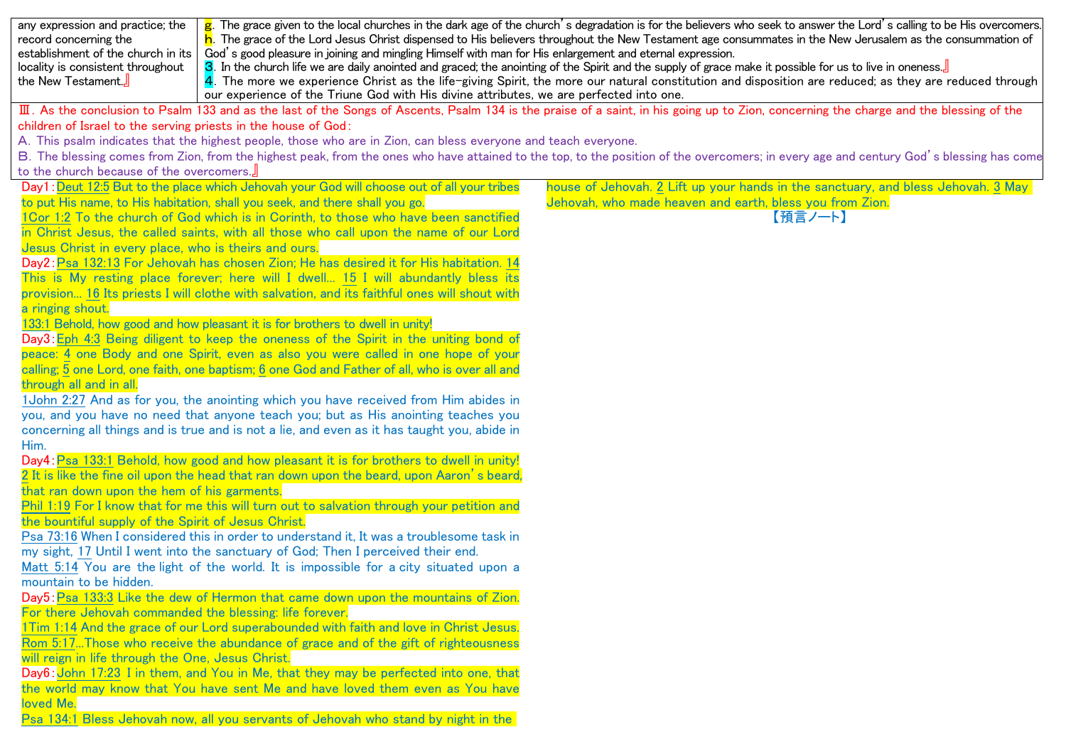| $\mathbf{g}$ . The grace given to the local churches in the dark age of the church's degradation is for the believers who seek to answer the Lord's calling to be His overcomers.<br>any expression and practice; the<br>h. The grace of the Lord Jesus Christ dispensed to His believers throughout the New Testament age consummates in the New Jerusalem as the consummation of<br>record concerning the<br>establishment of the church in its<br>God's good pleasure in joining and mingling Himself with man for His enlargement and eternal expression.<br>3. In the church life we are daily anointed and graced; the anointing of the Spirit and the supply of grace make it possible for us to live in oneness.<br>locality is consistent throughout<br>4. The more we experience Christ as the life-giving Spirit, the more our natural constitution and disposition are reduced; as they are reduced through<br>the New Testament.<br>our experience of the Triune God with His divine attributes, we are perfected into one. |                                                                                            |                                                                                   |
|------------------------------------------------------------------------------------------------------------------------------------------------------------------------------------------------------------------------------------------------------------------------------------------------------------------------------------------------------------------------------------------------------------------------------------------------------------------------------------------------------------------------------------------------------------------------------------------------------------------------------------------------------------------------------------------------------------------------------------------------------------------------------------------------------------------------------------------------------------------------------------------------------------------------------------------------------------------------------------------------------------------------------------------|--------------------------------------------------------------------------------------------|-----------------------------------------------------------------------------------|
| III. As the conclusion to Psalm 133 and as the last of the Songs of Ascents, Psalm 134 is the praise of a saint, in his going up to Zion, concerning the charge and the blessing of the                                                                                                                                                                                                                                                                                                                                                                                                                                                                                                                                                                                                                                                                                                                                                                                                                                                  |                                                                                            |                                                                                   |
| children of Israel to the serving priests in the house of God:                                                                                                                                                                                                                                                                                                                                                                                                                                                                                                                                                                                                                                                                                                                                                                                                                                                                                                                                                                           |                                                                                            |                                                                                   |
| A. This psalm indicates that the highest people, those who are in Zion, can bless everyone and teach everyone.<br>B. The blessing comes from Zion, from the highest peak, from the ones who have attained to the top, to the position of the overcomers; in every age and century God's blessing has come                                                                                                                                                                                                                                                                                                                                                                                                                                                                                                                                                                                                                                                                                                                                |                                                                                            |                                                                                   |
| to the church because of the overcomers.                                                                                                                                                                                                                                                                                                                                                                                                                                                                                                                                                                                                                                                                                                                                                                                                                                                                                                                                                                                                 |                                                                                            |                                                                                   |
|                                                                                                                                                                                                                                                                                                                                                                                                                                                                                                                                                                                                                                                                                                                                                                                                                                                                                                                                                                                                                                          | Day1: Deut 12:5 But to the place which Jehovah your God will choose out of all your tribes | house of Jehovah. 2 Lift up your hands in the sanctuary, and bless Jehovah. 3 May |
|                                                                                                                                                                                                                                                                                                                                                                                                                                                                                                                                                                                                                                                                                                                                                                                                                                                                                                                                                                                                                                          | to put His name, to His habitation, shall you seek, and there shall you go.                | Jehovah, who made heaven and earth, bless you from Zion.                          |
| 1Cor 1:2 To the church of God which is in Corinth, to those who have been sanctified                                                                                                                                                                                                                                                                                                                                                                                                                                                                                                                                                                                                                                                                                                                                                                                                                                                                                                                                                     |                                                                                            | 【預言ノート】                                                                           |
| in Christ Jesus, the called saints, with all those who call upon the name of our Lord                                                                                                                                                                                                                                                                                                                                                                                                                                                                                                                                                                                                                                                                                                                                                                                                                                                                                                                                                    |                                                                                            |                                                                                   |
| Jesus Christ in every place, who is theirs and ours.                                                                                                                                                                                                                                                                                                                                                                                                                                                                                                                                                                                                                                                                                                                                                                                                                                                                                                                                                                                     |                                                                                            |                                                                                   |
| Day2: Psa 132:13 For Jehovah has chosen Zion; He has desired it for His habitation. 14                                                                                                                                                                                                                                                                                                                                                                                                                                                                                                                                                                                                                                                                                                                                                                                                                                                                                                                                                   |                                                                                            |                                                                                   |
| This is My resting place forever; here will I dwell 15 I will abundantly bless its                                                                                                                                                                                                                                                                                                                                                                                                                                                                                                                                                                                                                                                                                                                                                                                                                                                                                                                                                       |                                                                                            |                                                                                   |
| provision 16 Its priests I will clothe with salvation, and its faithful ones will shout with                                                                                                                                                                                                                                                                                                                                                                                                                                                                                                                                                                                                                                                                                                                                                                                                                                                                                                                                             |                                                                                            |                                                                                   |
| a ringing shout.                                                                                                                                                                                                                                                                                                                                                                                                                                                                                                                                                                                                                                                                                                                                                                                                                                                                                                                                                                                                                         |                                                                                            |                                                                                   |
| 133:1 Behold, how good and how pleasant it is for brothers to dwell in unity!<br>Day3: Eph 4:3 Being diligent to keep the oneness of the Spirit in the uniting bond of                                                                                                                                                                                                                                                                                                                                                                                                                                                                                                                                                                                                                                                                                                                                                                                                                                                                   |                                                                                            |                                                                                   |
| peace: 4 one Body and one Spirit, even as also you were called in one hope of your                                                                                                                                                                                                                                                                                                                                                                                                                                                                                                                                                                                                                                                                                                                                                                                                                                                                                                                                                       |                                                                                            |                                                                                   |
| calling; 5 one Lord, one faith, one baptism; 6 one God and Father of all, who is over all and                                                                                                                                                                                                                                                                                                                                                                                                                                                                                                                                                                                                                                                                                                                                                                                                                                                                                                                                            |                                                                                            |                                                                                   |
| through all and in all.                                                                                                                                                                                                                                                                                                                                                                                                                                                                                                                                                                                                                                                                                                                                                                                                                                                                                                                                                                                                                  |                                                                                            |                                                                                   |
| 1 John 2:27 And as for you, the anointing which you have received from Him abides in                                                                                                                                                                                                                                                                                                                                                                                                                                                                                                                                                                                                                                                                                                                                                                                                                                                                                                                                                     |                                                                                            |                                                                                   |
| you, and you have no need that anyone teach you; but as His anointing teaches you                                                                                                                                                                                                                                                                                                                                                                                                                                                                                                                                                                                                                                                                                                                                                                                                                                                                                                                                                        |                                                                                            |                                                                                   |
| concerning all things and is true and is not a lie, and even as it has taught you, abide in                                                                                                                                                                                                                                                                                                                                                                                                                                                                                                                                                                                                                                                                                                                                                                                                                                                                                                                                              |                                                                                            |                                                                                   |
| Him.                                                                                                                                                                                                                                                                                                                                                                                                                                                                                                                                                                                                                                                                                                                                                                                                                                                                                                                                                                                                                                     |                                                                                            |                                                                                   |
|                                                                                                                                                                                                                                                                                                                                                                                                                                                                                                                                                                                                                                                                                                                                                                                                                                                                                                                                                                                                                                          | Day4: Psa 133:1 Behold, how good and how pleasant it is for brothers to dwell in unity!    |                                                                                   |
| 2 It is like the fine oil upon the head that ran down upon the beard, upon Aaron's beard,                                                                                                                                                                                                                                                                                                                                                                                                                                                                                                                                                                                                                                                                                                                                                                                                                                                                                                                                                |                                                                                            |                                                                                   |
| that ran down upon the hem of his garments.                                                                                                                                                                                                                                                                                                                                                                                                                                                                                                                                                                                                                                                                                                                                                                                                                                                                                                                                                                                              |                                                                                            |                                                                                   |
| Phil 1:19 For I know that for me this will turn out to salvation through your petition and<br>the bountiful supply of the Spirit of Jesus Christ.                                                                                                                                                                                                                                                                                                                                                                                                                                                                                                                                                                                                                                                                                                                                                                                                                                                                                        |                                                                                            |                                                                                   |
| Psa 73:16 When I considered this in order to understand it. It was a troublesome task in                                                                                                                                                                                                                                                                                                                                                                                                                                                                                                                                                                                                                                                                                                                                                                                                                                                                                                                                                 |                                                                                            |                                                                                   |
| my sight, 17 Until I went into the sanctuary of God; Then I perceived their end.                                                                                                                                                                                                                                                                                                                                                                                                                                                                                                                                                                                                                                                                                                                                                                                                                                                                                                                                                         |                                                                                            |                                                                                   |
| Matt 5:14 You are the light of the world. It is impossible for a city situated upon a                                                                                                                                                                                                                                                                                                                                                                                                                                                                                                                                                                                                                                                                                                                                                                                                                                                                                                                                                    |                                                                                            |                                                                                   |
| mountain to be hidden.                                                                                                                                                                                                                                                                                                                                                                                                                                                                                                                                                                                                                                                                                                                                                                                                                                                                                                                                                                                                                   |                                                                                            |                                                                                   |
| Day5: Psa 133:3 Like the dew of Hermon that came down upon the mountains of Zion.                                                                                                                                                                                                                                                                                                                                                                                                                                                                                                                                                                                                                                                                                                                                                                                                                                                                                                                                                        |                                                                                            |                                                                                   |
| For there Jehovah commanded the blessing: life forever.                                                                                                                                                                                                                                                                                                                                                                                                                                                                                                                                                                                                                                                                                                                                                                                                                                                                                                                                                                                  |                                                                                            |                                                                                   |
| 1Tim 1:14 And the grace of our Lord superabounded with faith and love in Christ Jesus.                                                                                                                                                                                                                                                                                                                                                                                                                                                                                                                                                                                                                                                                                                                                                                                                                                                                                                                                                   |                                                                                            |                                                                                   |
| Rom 5:17Those who receive the abundance of grace and of the gift of righteousness<br>will reign in life through the One, Jesus Christ.                                                                                                                                                                                                                                                                                                                                                                                                                                                                                                                                                                                                                                                                                                                                                                                                                                                                                                   |                                                                                            |                                                                                   |
| Day6: John 17:23 I in them, and You in Me, that they may be perfected into one, that                                                                                                                                                                                                                                                                                                                                                                                                                                                                                                                                                                                                                                                                                                                                                                                                                                                                                                                                                     |                                                                                            |                                                                                   |
| the world may know that You have sent Me and have loved them even as You have                                                                                                                                                                                                                                                                                                                                                                                                                                                                                                                                                                                                                                                                                                                                                                                                                                                                                                                                                            |                                                                                            |                                                                                   |
| loved Me.                                                                                                                                                                                                                                                                                                                                                                                                                                                                                                                                                                                                                                                                                                                                                                                                                                                                                                                                                                                                                                |                                                                                            |                                                                                   |
| Psa 134:1 Bless Jehovah now, all you servants of Jehovah who stand by night in the                                                                                                                                                                                                                                                                                                                                                                                                                                                                                                                                                                                                                                                                                                                                                                                                                                                                                                                                                       |                                                                                            |                                                                                   |
|                                                                                                                                                                                                                                                                                                                                                                                                                                                                                                                                                                                                                                                                                                                                                                                                                                                                                                                                                                                                                                          |                                                                                            |                                                                                   |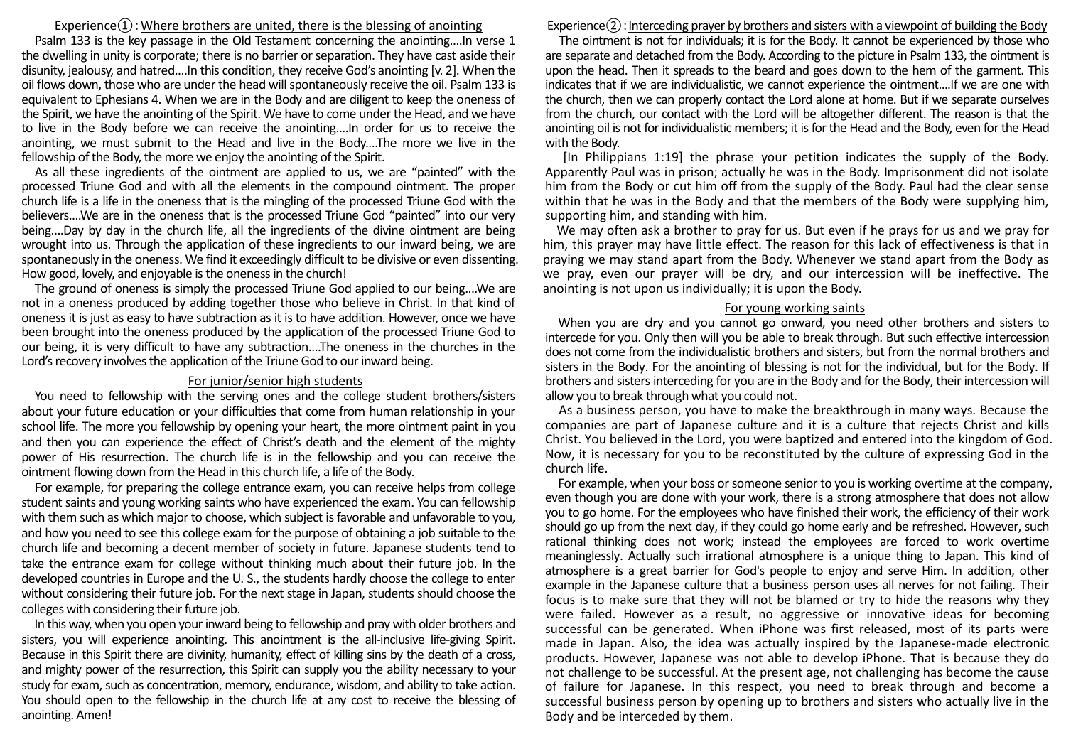### Experience $(1)$ : Where brothers are united, there is the blessing of anointing

Psalm 133 is the key passage in the Old Testament concerning the anointing....In verse 1 the dwelling in unity is corporate; there is no barrier or separation. They have cast aside their disunity, jealousy, and hatred....In this condition, they receive God's anointing [v. 2]. When the oil flows down, those who are under the head will spontaneously receive the oil. Psalm 133 is equivalent to Ephesians 4. When we are in the Body and are diligent to keep the oneness of the Spirit, we have the anointing of the Spirit. We have to come under the Head, and we have to live in the Body before we can receive the anointing....In order for us to receive the anointing, we must submit to the Head and live in the Body....The more we live in the fellowship of the Body, the more we enjoy the anointing of the Spirit.

As all these ingredients of the ointment are applied to us, we are "painted" with the processed Triune God and with all the elements in the compound ointment. The proper church life is a life in the oneness that is the mingling of the processed Triune God with the believers....We are in the oneness that is the processed Triune God "painted" into our very being....Day by day in the church life, all the ingredients of the divine ointment are being wrought into us. Through the application of these ingredients to our inward being, we are spontaneously in the oneness. We find it exceedingly difficult to be divisive or even dissenting. How good, lovely, and enjoyable is the oneness in the church!

The ground of oneness is simply the processed Triune God applied to our being....We are not in a oneness produced by adding together those who believe in Christ. In that kind of oneness it is just as easy to have subtraction as it is to have addition. However, once we have been brought into the oneness produced by the application of the processed Triune God to our being, it is very difficult to have any subtraction....The oneness in the churches in the Lord's recovery involves the application of the Triune God to our inward being.

#### For junior/senior high students

You need to fellowship with the serving ones and the college student brothers/sisters about your future education or your difficulties that come from human relationship in your school life. The more you fellowship by opening your heart, the more ointment paint in you and then you can experience the effect of Christ's death and the element of the mighty power of His resurrection. The church life is in the fellowship and you can receive the ointment flowing down from the Head in this church life, a life of the Body.

For example, for preparing the college entrance exam, you can receive helps from college student saints and young working saints who have experienced the exam. You can fellowship with them such as which major to choose, which subject is favorable and unfavorable to you, and how you need to see this college exam for the purpose of obtaining a job suitable to the church life and becoming a decent member of society in future. Japanese students tend to take the entrance exam for college without thinking much about their future job. In the developed countries in Europe and the U. S., the students hardly choose the college to enter without considering their future job. For the next stage in Japan, students should choose the colleges with considering their future job.

In this way, when you open your inward being to fellowship and pray with older brothers and sisters, you will experience anointing. This anointment is the all-inclusive life-giving Spirit. Because in this Spirit there are divinity, humanity, effect of killing sins by the death of a cross, and mighty power of the resurrection, this Spirit can supply you the ability necessary to your study for exam, such as concentration, memory, endurance, wisdom, and ability to take action. You should open to the fellowship in the church life at any cost to receive the blessing of anointing. Amen!

# $Experience(2):Interceding prayer by brothers and sisters with a viewpoint of building the Body$

The ointment is not for individuals; it is for the Body. It cannot be experienced by those who are separate and detached from the Body. According to the picture in Psalm 133, the ointment is upon the head. Then it spreads to the beard and goes down to the hem of the garment. This indicates that if we are individualistic, we cannot experience the ointment....If we are one with the church, then we can properly contact the Lord alone at home. But if we separate ourselves from the church, our contact with the Lord will be altogether different. The reason is that the anointing oil is not for individualistic members; it is for the Head and the Body, even for the Head with the Body.

 [In Philippians 1:19] the phrase your petition indicates the supply of the Body. Apparently Paul was in prison; actually he was in the Body. Imprisonment did not isolate him from the Body or cut him off from the supply of the Body. Paul had the clear sense within that he was in the Body and that the members of the Body were supplying him, supporting him, and standing with him.

 We may often ask a brother to pray for us. But even if he prays for us and we pray for him, this prayer may have little effect. The reason for this lack of effectiveness is that in praying we may stand apart from the Body. Whenever we stand apart from the Body as we pray, even our prayer will be dry, and our intercession will be ineffective. The anointing is not upon us individually; it is upon the Body.

### For young working saints

When you are dry and you cannot go onward, you need other brothers and sisters to intercede for you. Only then will you be able to break through. But such effective intercession does not come from the individualistic brothers and sisters, but from the normal brothers and sisters in the Body. For the anointing of blessing is not for the individual, but for the Body. If brothers and sisters interceding for you are in the Body and for the Body, their intercession will allow you to break through what you could not.

As a business person, you have to make the breakthrough in many ways. Because the companies are part of Japanese culture and it is a culture that rejects Christ and kills Christ. You believed in the Lord, you were baptized and entered into the kingdom of God. Now, it is necessary for you to be reconstituted by the culture of expressing God in the church life.

For example, when your boss or someone senior to you is working overtime at the company, even though you are done with your work, there is a strong atmosphere that does not allow you to go home. For the employees who have finished their work, the efficiency of their work should go up from the next day, if they could go home early and be refreshed. However, such rational thinking does not work; instead the employees are forced to work overtime meaninglessly. Actually such irrational atmosphere is a unique thing to Japan. This kind of atmosphere is a great barrier for God's people to enjoy and serve Him. In addition, other example in the Japanese culture that a business person uses all nerves for not failing. Their focus is to make sure that they will not be blamed or try to hide the reasons why they were failed. However as a result, no aggressive or innovative ideas for becoming successful can be generated. When iPhone was first released, most of its parts were made in Japan. Also, the idea was actually inspired by the Japanese-made electronic products. However, Japanese was not able to develop iPhone. That is because they do not challenge to be successful. At the present age, not challenging has become the cause of failure for Japanese. In this respect, you need to break through and become a successful business person by opening up to brothers and sisters who actually live in the Body and be interceded by them.